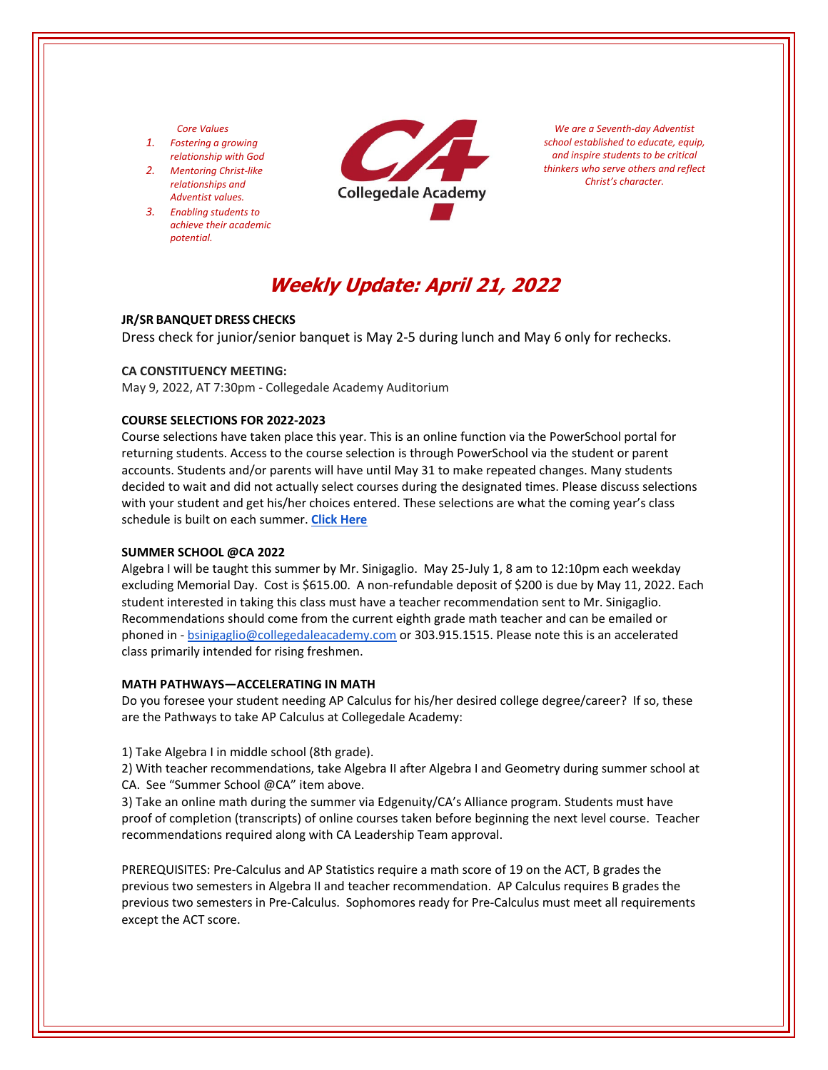## *Core Values*

- *1. Fostering a growing relationship with God*
- *2. Mentoring Christ‐like relationships and Adventist values.*
- *3. Enabling students to achieve their academic potential.*



*We are a Seventh‐day Adventist school established to educate, equip, and inspire students to be critical thinkers who serve others and reflect Christ's character.*

# **Weekly Update: April 21, 2022**

# **JR/SR BANQUET DRESS CHECKS**

Dress check for junior/senior banquet is May 2‐5 during lunch and May 6 only for rechecks.

#### **CA CONSTITUENCY MEETING:**

May 9, 2022, AT 7:30pm ‐ Collegedale Academy Auditorium

#### **COURSE SELECTIONS FOR 2022‐2023**

Course selections have taken place this year. This is an online function via the PowerSchool portal for returning students. Access to the course selection is through PowerSchool via the student or parent accounts. Students and/or parents will have until May 31 to make repeated changes. Many students decided to wait and did not actually select courses during the designated times. Please discuss selections with your student and get his/her choices entered. These selections are what the coming year's class schedule is built on each summer. **Click [Here](https://www.collegedaleacademy.com/welcome-to-ca/academics/course-sequence/)**

#### **SUMMER SCHOOL @CA 2022**

Algebra I will be taught this summer by Mr. Sinigaglio. May 25‐July 1, 8 am to 12:10pm each weekday excluding Memorial Day. Cost is \$615.00. A non-refundable deposit of \$200 is due by May 11, 2022. Each student interested in taking this class must have a teacher recommendation sent to Mr. Sinigaglio. Recommendations should come from the current eighth grade math teacher and can be emailed or phoned in - bsinigaglio@collegedaleacademy.com or 303.915.1515. Please note this is an accelerated class primarily intended for rising freshmen.

#### **MATH PATHWAYS—ACCELERATING IN MATH**

Do you foresee your student needing AP Calculus for his/her desired college degree/career? If so, these are the Pathways to take AP Calculus at Collegedale Academy:

1) Take Algebra I in middle school (8th grade).

2) With teacher recommendations, take Algebra II after Algebra I and Geometry during summer school at CA. See "Summer School @CA" item above.

3) Take an online math during the summer via Edgenuity/CA's Alliance program. Students must have proof of completion (transcripts) of online courses taken before beginning the next level course. Teacher recommendations required along with CA Leadership Team approval.

PREREQUISITES: Pre‐Calculus and AP Statistics require a math score of 19 on the ACT, B grades the previous two semesters in Algebra II and teacher recommendation. AP Calculus requires B grades the previous two semesters in Pre‐Calculus. Sophomores ready for Pre‐Calculus must meet all requirements except the ACT score.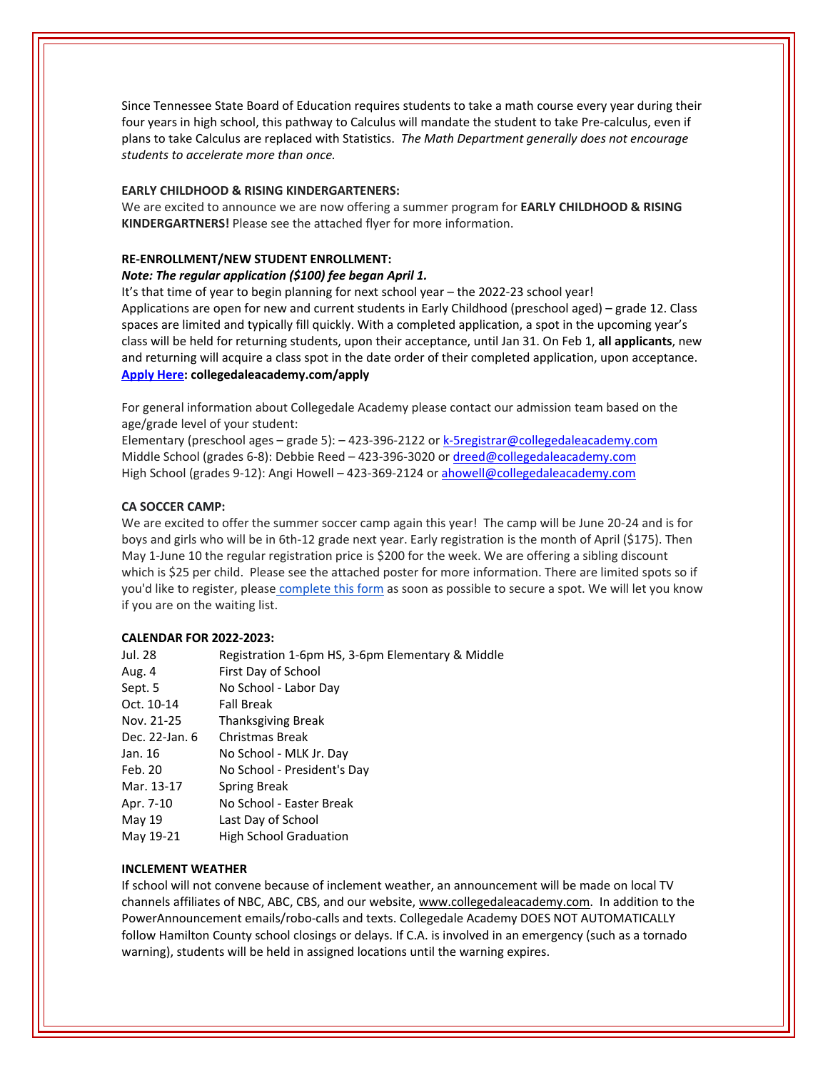Since Tennessee State Board of Education requires students to take a math course every year during their four years in high school, this pathway to Calculus will mandate the student to take Pre‐calculus, even if plans to take Calculus are replaced with Statistics. *The Math Department generally does not encourage students to accelerate more than once.* 

### **EARLY CHILDHOOD & RISING KINDERGARTENERS:**

We are excited to announce we are now offering a summer program for **EARLY CHILDHOOD & RISING KINDERGARTNERS!** Please see the attached flyer for more information.

#### **RE‐ENROLLMENT/NEW STUDENT ENROLLMENT:**

## *Note: The regular application (\$100) fee began April 1.*

It's that time of year to begin planning for next school year – the 2022‐23 school year! Applications are open for new and current students in Early Childhood (preschool aged) – grade 12. Class spaces are limited and typically fill quickly. With a completed application, a spot in the upcoming year's class will be held for returning students, upon their acceptance, until Jan 31. On Feb 1, **all applicants**, new and returning will acquire a class spot in the date order of their completed application, upon acceptance. **[Apply](collegedaleacademy.com/apply) Here: collegedaleacademy.com/apply**

For general information about Collegedale Academy please contact our admission team based on the age/grade level of your student:

Elementary (preschool ages – grade 5): – 423-396-2122 or k-5registrar@collegedaleacademy.com Middle School (grades 6-8): Debbie Reed - 423-396-3020 or dreed@collegedaleacademy.com High School (grades 9‐12): Angi Howell – 423‐369‐2124 or ahowell@collegedaleacademy.com

## **CA SOCCER CAMP:**

We are excited to offer the summer soccer camp again this year! The camp will be June 20-24 and is for boys and girls who will be in 6th‐12 grade next year. Early registration is the month of April (\$175). Then May 1-June 10 the regular registration price is \$200 for the week. We are offering a sibling discount which is \$25 per child. Please see the attached poster for more information. There are limited spots so if you'd like to register, please [complete](https://docs.google.com/forms/d/e/1FAIpQLSd7F9MiyyKrREO9wjKqHyqIU2PvgvAk4mvqSDD298h4UqnFjA/viewform) this form as soon as possible to secure a spot. We will let you know if you are on the waiting list.

#### **CALENDAR FOR 2022‐2023:**

| Jul. 28        | Registration 1-6pm HS, 3-6pm Elementary & Middle |
|----------------|--------------------------------------------------|
| Aug. 4         | First Day of School                              |
| Sept. 5        | No School - Labor Day                            |
| Oct. 10-14     | <b>Fall Break</b>                                |
| Nov. 21-25     | <b>Thanksgiving Break</b>                        |
| Dec. 22-Jan. 6 | Christmas Break                                  |
| Jan. 16        | No School - MLK Jr. Day                          |
| Feb. 20        | No School - President's Day                      |
| Mar. 13-17     | Spring Break                                     |
| Apr. 7-10      | No School - Easter Break                         |
| May 19         | Last Day of School                               |
| May 19-21      | <b>High School Graduation</b>                    |

# **INCLEMENT WEATHER**

If school will not convene because of inclement weather, an announcement will be made on local TV channels affiliates of NBC, ABC, CBS, and our website, www.collegedaleacademy.com. In addition to the PowerAnnouncement emails/robo‐calls and texts. Collegedale Academy DOES NOT AUTOMATICALLY follow Hamilton County school closings or delays. If C.A. is involved in an emergency (such as a tornado warning), students will be held in assigned locations until the warning expires.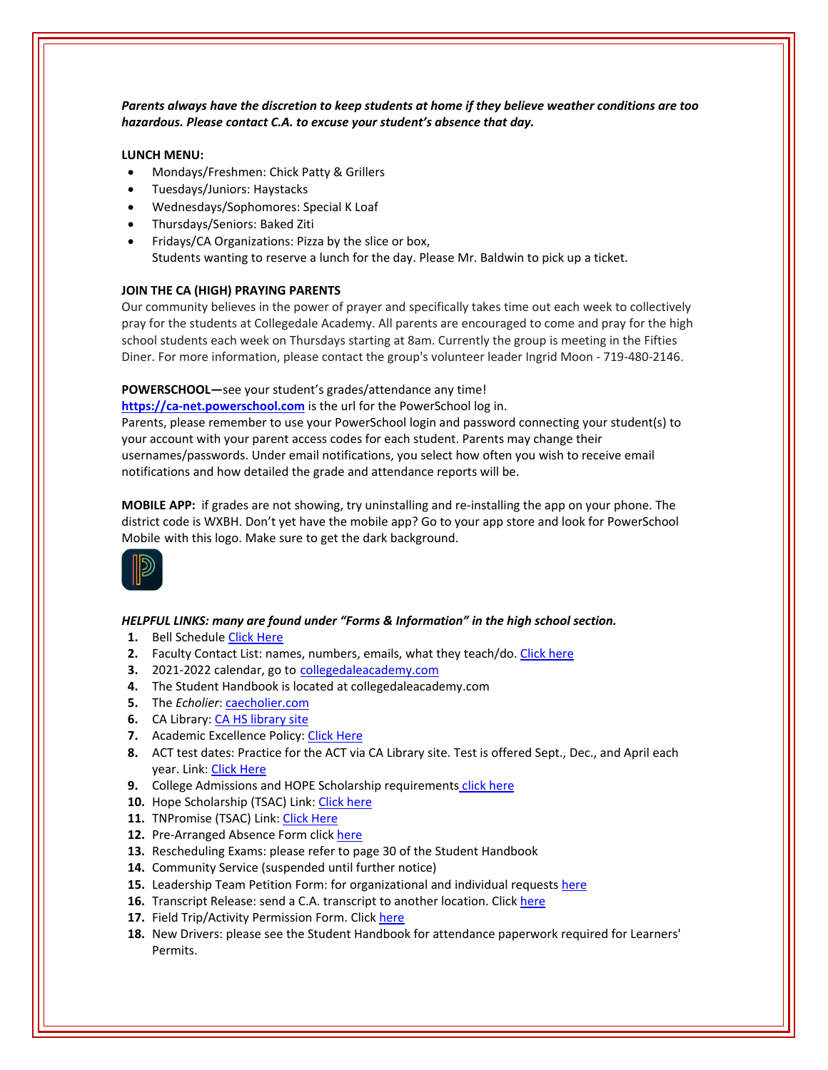*Parents always have the discretion to keep students at home if they believe weather conditions are too hazardous. Please contact C.A. to excuse your student's absence that day.*

# **LUNCH MENU:**

- Mondays/Freshmen: Chick Patty & Grillers
- Tuesdays/Juniors: Haystacks
- Wednesdays/Sophomores: Special K Loaf
- Thursdays/Seniors: Baked Ziti
- Fridays/CA Organizations: Pizza by the slice or box, Students wanting to reserve a lunch for the day. Please Mr. Baldwin to pick up a ticket.

## **JOIN THE CA (HIGH) PRAYING PARENTS**

Our community believes in the power of prayer and specifically takes time out each week to collectively pray for the students at Collegedale Academy. All parents are encouraged to come and pray for the high school students each week on Thursdays starting at 8am. Currently the group is meeting in the Fifties Diner. For more information, please contact the group's volunteer leader Ingrid Moon ‐ 719‐480‐2146.

## **POWERSCHOOL—**see your student's grades/attendance any time!

**https://ca-[net.powerschool.com](https://ca-net.powerschool.com/public/)** is the url for the PowerSchool log in. Parents, please remember to use your PowerSchool login and password connecting your student(s) to your account with your parent access codes for each student. Parents may change their usernames/passwords. Under email notifications, you select how often you wish to receive email notifications and how detailed the grade and attendance reports will be.

**MOBILE APP:** if grades are not showing, try uninstalling and re‐installing the app on your phone. The district code is WXBH. Don't yet have the mobile app? Go to your app store and look for PowerSchool Mobile with this logo. Make sure to get the dark background.



# *HELPFUL LINKS: many are found under "Forms & Information" in the high school section.*

- **1.** Bell Schedule Click [Here](https://www.collegedaleacademy.com/wp-content/uploads/2018/08/Bell-Schedule.pdf)
- **2.** Faculty Contact List: names, numbers, emails, what they teach/do. [Click](https://www.collegedaleacademy.com/wp-content/uploads/2021/08/faculty-only-2021-2022.pdf) here
- **3.** 2021‐2022 calendar, go to [collegedaleacademy.com](https://www.collegedaleacademy.com/calendars/)
- **4.** The Student Handbook is located at collegedaleacademy.com
- **5.** The *Echolier*: [caecholier.com](https://caecholier.com/)
- **6.** CA Library: CA HS [library](https://southernuniongcc.mlasolutions.com/m5/catalog/(S(5xfqdv3wozyyg422bfvaqqr0))/default.aspx?installation=CDA) site
- **7.** Academic Excellence Policy: Click [Here](https://www.collegedaleacademy.com/wp-content/uploads/2018/08/Academic-Excellence-Policy.pdf)
- **8.** ACT test dates: Practice for the ACT via CA Library site. Test is offered Sept., Dec., and April each year. Link: Click [Here](https://www.act.org/)
- **9.** College Admissions and HOPE Scholarship requirements click [here](https://www.collegedaleacademy.com/wp-content/uploads/2019/08/TSAC-Scholarship-Info.pdf)
- **10.** Hope Scholarship (TSAC) Link: Click [here](https://www.tn.gov/collegepays/money-for-college/tn-education-lottery-programs/tennessee-hope-scholarship.html)
- 11. TNPromise (TSAC) Link: Click [Here](https://www.tn.gov/tnpromise.html)
- 12. Pre-Arranged Absence Form click [here](https://www.collegedaleacademy.com/wp-content/uploads/2016/11/Class-Absence-Request-Form-May-2017.pdf)
- **13.** Rescheduling Exams: please refer to page 30 of the Student Handbook
- **14.** Community Service (suspended until further notice)
- **15.** Leadership Team Petition Form: for organizational and individual requests [here](https://www.collegedaleacademy.com/wp-content/uploads/2019/08/Leadership-Petition-SSch.pdf)
- **16.** Transcript Release: send a C.A. transcript to another location. Click [here](https://collegedaleacademy.wufoo.com/forms/q1bmc4gg10gftjs/)
- 17. Field Trip/Activity Permission Form. Click [here](https://www.collegedaleacademy.com/wp-content/uploads/2018/08/Field-Trip-form.pdf)
- **18.** New Drivers: please see the Student Handbook for attendance paperwork required for Learners' Permits.